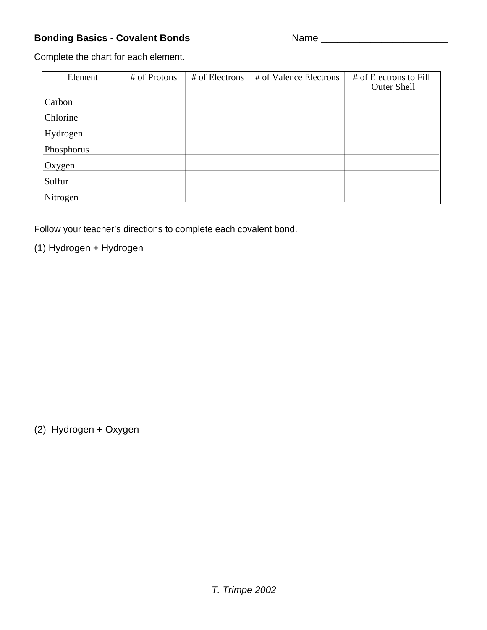## **Bonding Basics - Covalent Bonds** Name \_\_\_\_\_\_\_\_\_\_\_\_\_\_\_\_\_\_\_\_\_\_\_

Complete the chart for each element.

| Element    | # of Protons | # of Electrons | # of Valence Electrons | # of Electrons to Fill<br><b>Outer Shell</b> |
|------------|--------------|----------------|------------------------|----------------------------------------------|
| Carbon     |              |                |                        |                                              |
| Chlorine   |              |                |                        |                                              |
| Hydrogen   |              |                |                        |                                              |
| Phosphorus |              |                |                        |                                              |
| Oxygen     |              |                |                        |                                              |
| Sulfur     |              |                |                        |                                              |
| Nitrogen   |              |                |                        |                                              |

Follow your teacher's directions to complete each covalent bond.

(1) Hydrogen + Hydrogen

(2) Hydrogen + Oxygen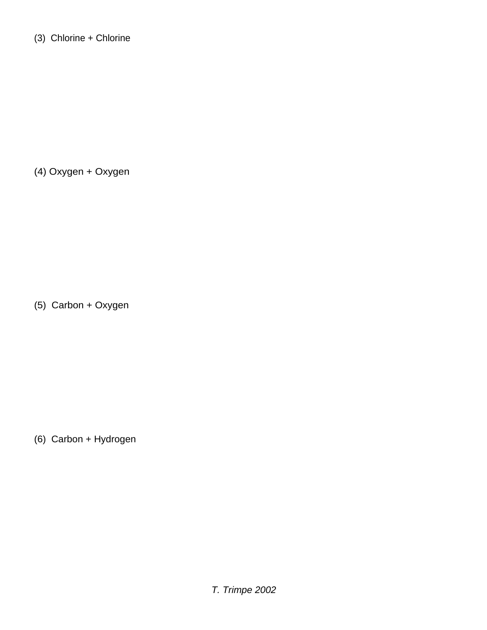(4) Oxygen + Oxygen

(5) Carbon + Oxygen

(6) Carbon + Hydrogen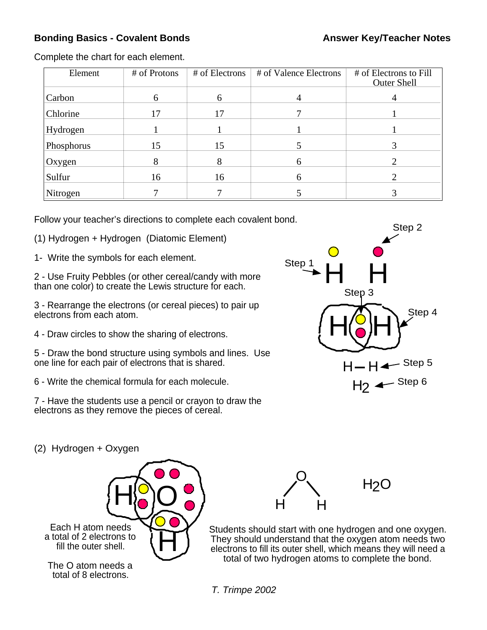## **Bonding Basics - Covalent Bonds Answer Key/Teacher Notes Answer Key/Teacher Notes**

Complete the chart for each element.

| Element    | # of Protons | # of Electrons | # of Valence Electrons | # of Electrons to Fill<br><b>Outer Shell</b> |
|------------|--------------|----------------|------------------------|----------------------------------------------|
| Carbon     | 6            | <sub>0</sub>   | 4                      | 4                                            |
| Chlorine   | 17           | 17             |                        |                                              |
| Hydrogen   |              |                |                        |                                              |
| Phosphorus | 15           | 15             |                        |                                              |
| Oxygen     |              | 8              | <sub>0</sub>           |                                              |
| Sulfur     | 16           | 16             | h                      |                                              |
| Nitrogen   |              |                |                        |                                              |

Follow your teacher's directions to complete each covalent bond.

- (1) Hydrogen + Hydrogen (Diatomic Element)
- 1- Write the symbols for each element.

2 - Use Fruity Pebbles (or other cereal/candy with more than one color) to create the Lewis structure for each.

3 - Rearrange the electrons (or cereal pieces) to pair up electrons from each atom.

4 - Draw circles to show the sharing of electrons.

5 - Draw the bond structure using symbols and lines. Use one line for each pair of electrons that is shared.

6 - Write the chemical formula for each molecule.

7 - Have the students use a pencil or crayon to draw the electrons as they remove the pieces of cereal.



(2) Hydrogen + Oxygen





Students should start with one hydrogen and one oxygen. They should understand that the oxygen atom needs two electrons to fill its outer shell, which means they will need a total of two hydrogen atoms to complete the bond.